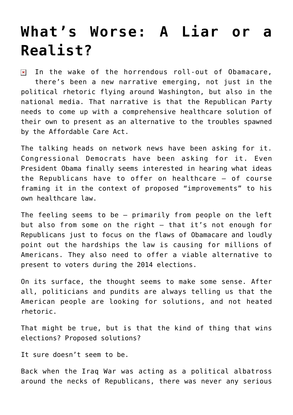## **[What's Worse: A Liar or a](https://bernardgoldberg.com/whats-worse-liar-realist/) [Realist?](https://bernardgoldberg.com/whats-worse-liar-realist/)**

In the wake of the horrendous roll-out of Obamacare,  $\pmb{\times}$ there's been a new narrative emerging, not just in the political rhetoric flying around Washington, but also in the national media. That narrative is that the Republican Party needs to come up with a comprehensive healthcare solution of their own to present as an alternative to the troubles spawned by the Affordable Care Act.

The talking heads on network news have been asking for it. Congressional Democrats have been asking for it. Even President Obama finally seems interested in hearing what ideas the Republicans have to offer on healthcare – of course framing it in the context of proposed "improvements" to his own healthcare law.

The feeling seems to be – primarily from people on the left but also from some on the right – that it's not enough for Republicans just to focus on the flaws of Obamacare and loudly point out the hardships the law is causing for millions of Americans. They also need to offer a viable alternative to present to voters during the 2014 elections.

On its surface, the thought seems to make some sense. After all, politicians and pundits are always telling us that the American people are looking for solutions, and not heated rhetoric.

That might be true, but is that the kind of thing that wins elections? Proposed solutions?

It sure doesn't seem to be.

Back when the Iraq War was acting as a political albatross around the necks of Republicans, there was never any serious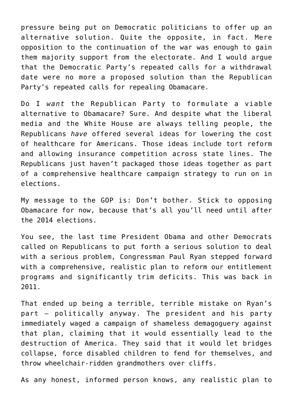pressure being put on Democratic politicians to offer up an alternative solution. Quite the opposite, in fact. Mere opposition to the continuation of the war was enough to gain them majority support from the electorate. And I would argue that the Democratic Party's repeated calls for a withdrawal date were no more a proposed solution than the Republican Party's repeated calls for repealing Obamacare.

Do I *want* the Republican Party to formulate a viable alternative to Obamacare? Sure. And despite what the liberal media and the White House are always telling people, the Republicans *have* offered several ideas for lowering the cost of healthcare for Americans. Those ideas include tort reform and allowing insurance competition across state lines. The Republicans just haven't packaged those ideas together as part of a comprehensive healthcare campaign strategy to run on in elections.

My message to the GOP is: Don't bother. Stick to opposing Obamacare for now, because that's all you'll need until after the 2014 elections.

You see, the last time President Obama and other Democrats called on Republicans to put forth a serious solution to deal with a serious problem, Congressman Paul Ryan stepped forward with a comprehensive, realistic plan to reform our entitlement programs and significantly trim deficits. This was back in 2011.

That ended up being a terrible, terrible mistake on Ryan's part – politically anyway. The president and his party immediately waged a campaign of shameless demagoguery against that plan, claiming that it would essentially lead to the destruction of America. They said that it would let bridges collapse, force disabled children to fend for themselves, and throw wheelchair-ridden grandmothers over cliffs.

As any honest, informed person knows, any realistic plan to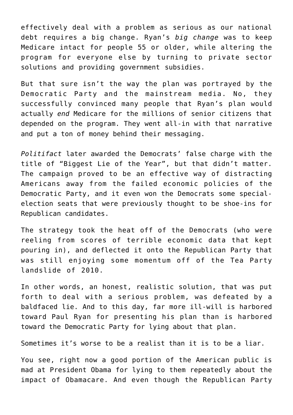effectively deal with a problem as serious as our national debt requires a big change. Ryan's *big change* was to keep Medicare intact for people 55 or older, while altering the program for everyone else by turning to private sector solutions and providing government subsidies.

But that sure isn't the way the plan was portrayed by the Democratic Party and the mainstream media. No, they successfully convinced many people that Ryan's plan would actually *end* Medicare for the millions of senior citizens that depended on the program. They went all-in with that narrative and put a ton of money behind their messaging.

*Politifact* later awarded the Democrats' false charge with the title of "Biggest Lie of the Year", but that didn't matter. The campaign proved to be an effective way of distracting Americans away from the failed economic policies of the Democratic Party, and it even won the Democrats some specialelection seats that were previously thought to be shoe-ins for Republican candidates.

The strategy took the heat off of the Democrats (who were reeling from scores of terrible economic data that kept pouring in), and deflected it onto the Republican Party that was still enjoying some momentum off of the Tea Party landslide of 2010.

In other words, an honest, realistic solution, that was put forth to deal with a serious problem, was defeated by a baldfaced lie. And to this day, far more ill-will is harbored toward Paul Ryan for presenting his plan than is harbored toward the Democratic Party for lying about that plan.

Sometimes it's worse to be a realist than it is to be a liar.

You see, right now a good portion of the American public is mad at President Obama for lying to them repeatedly about the impact of Obamacare. And even though the Republican Party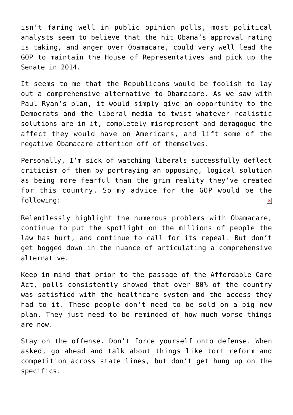isn't faring well in public opinion polls, most political analysts seem to believe that the hit Obama's approval rating is taking, and anger over Obamacare, could very well lead the GOP to maintain the House of Representatives and pick up the Senate in 2014.

It seems to me that the Republicans would be foolish to lay out a comprehensive alternative to Obamacare. As we saw with Paul Ryan's plan, it would simply give an opportunity to the Democrats and the liberal media to twist whatever realistic solutions are in it, completely misrepresent and demagogue the affect they would have on Americans, and lift some of the negative Obamacare attention off of themselves.

Personally, I'm sick of watching liberals successfully deflect criticism of them by portraying an opposing, logical solution as being more fearful than the grim reality they've created for this country. So my advice for the GOP would be the following:  $\pmb{\times}$ 

Relentlessly highlight the numerous problems with Obamacare, continue to put the spotlight on the millions of people the law has hurt, and continue to call for its repeal. But don't get bogged down in the nuance of articulating a comprehensive alternative.

Keep in mind that prior to the passage of the Affordable Care Act, polls consistently showed that over 80% of the country was satisfied with the healthcare system and the access they had to it. These people don't need to be sold on a big new plan. They just need to be reminded of how much worse things are now.

Stay on the offense. Don't force yourself onto defense. When asked, go ahead and talk about things like tort reform and competition across state lines, but don't get hung up on the specifics.